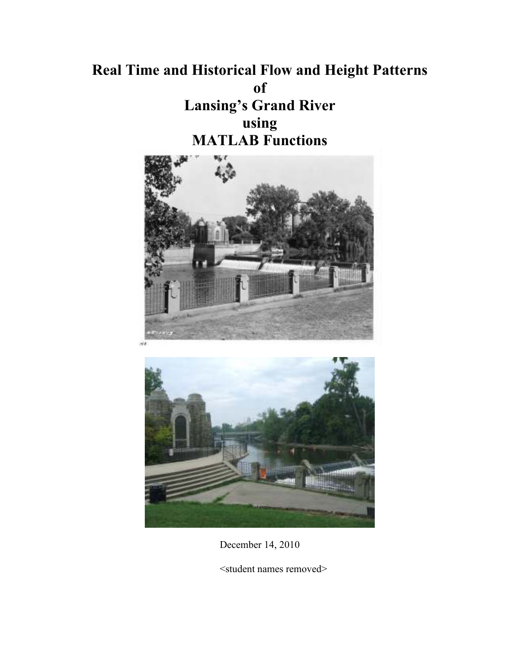# **Real Time and Historical Flow and Height Patterns of Lansing's Grand River using MATLAB Functions**





December 14, 2010

<student names removed>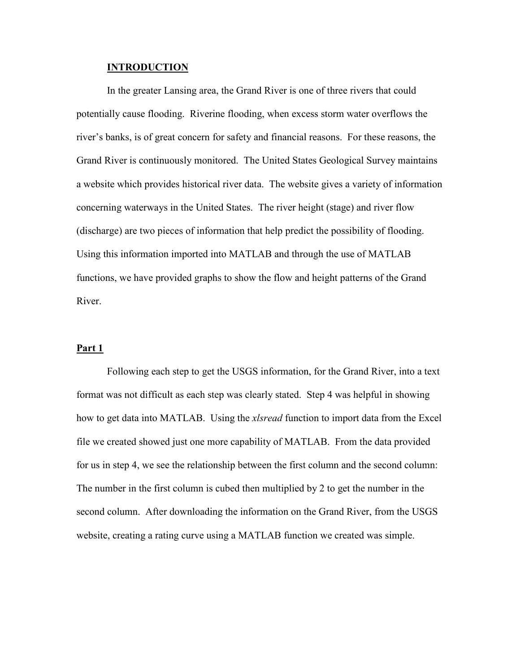#### **INTRODUCTION**

In the greater Lansing area, the Grand River is one of three rivers that could potentially cause flooding. Riverine flooding, when excess storm water overflows the river's banks, is of great concern for safety and financial reasons. For these reasons, the Grand River is continuously monitored. The United States Geological Survey maintains a website which provides historical river data. The website gives a variety of information concerning waterways in the United States. The river height (stage) and river flow (discharge) are two pieces of information that help predict the possibility of flooding. Using this information imported into MATLAB and through the use of MATLAB functions, we have provided graphs to show the flow and height patterns of the Grand River.

#### **Part 1**

Following each step to get the USGS information, for the Grand River, into a text format was not difficult as each step was clearly stated. Step 4 was helpful in showing how to get data into MATLAB. Using the *xlsread* function to import data from the Excel file we created showed just one more capability of MATLAB. From the data provided for us in step 4, we see the relationship between the first column and the second column: The number in the first column is cubed then multiplied by 2 to get the number in the second column. After downloading the information on the Grand River, from the USGS website, creating a rating curve using a MATLAB function we created was simple.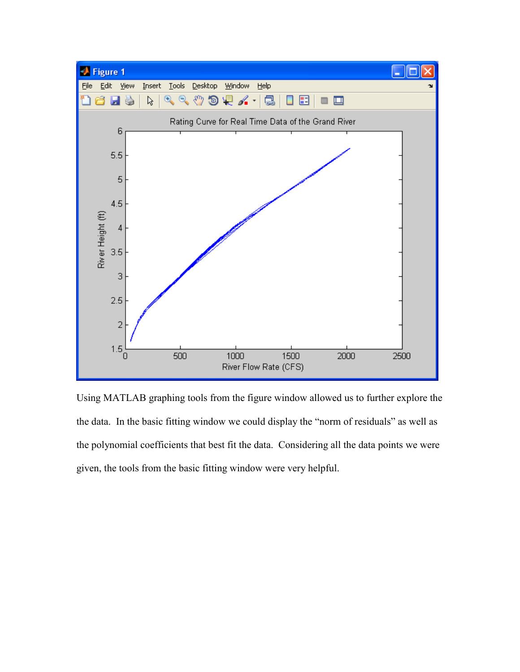

Using MATLAB graphing tools from the figure window allowed us to further explore the the data. In the basic fitting window we could display the "norm of residuals" as well as the polynomial coefficients that best fit the data. Considering all the data points we were given, the tools from the basic fitting window were very helpful.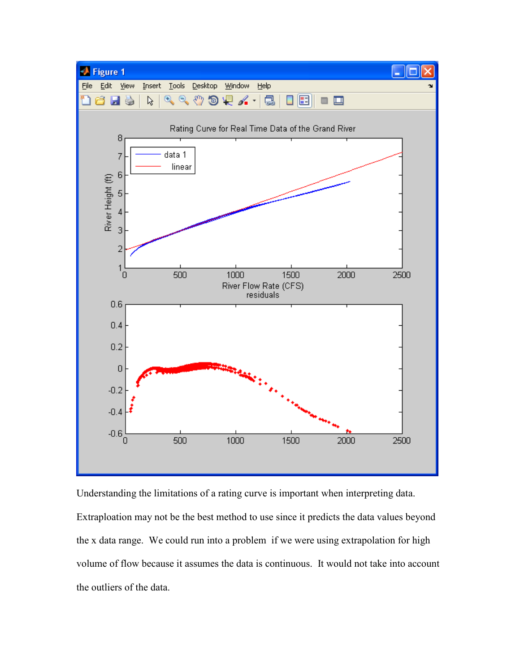

Understanding the limitations of a rating curve is important when interpreting data. Extraploation may not be the best method to use since it predicts the data values beyond the x data range. We could run into a problem if we were using extrapolation for high volume of flow because it assumes the data is continuous. It would not take into account the outliers of the data.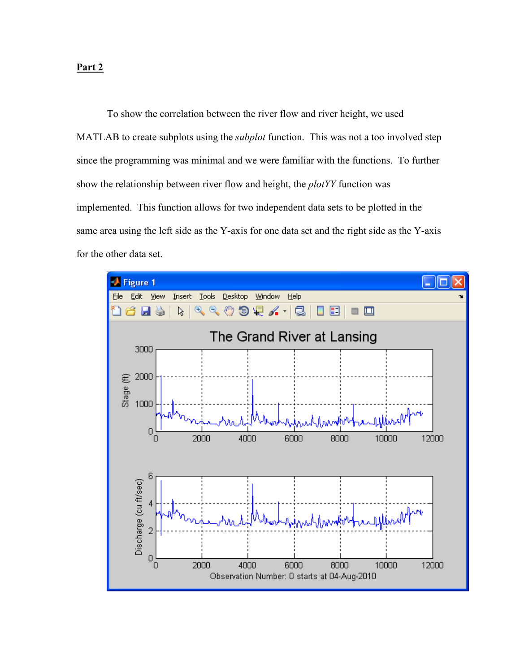# **Part 2**

To show the correlation between the river flow and river height, we used MATLAB to create subplots using the *subplot* function. This was not a too involved step since the programming was minimal and we were familiar with the functions. To further show the relationship between river flow and height, the *plotYY* function was implemented. This function allows for two independent data sets to be plotted in the same area using the left side as the Y-axis for one data set and the right side as the Y-axis for the other data set.

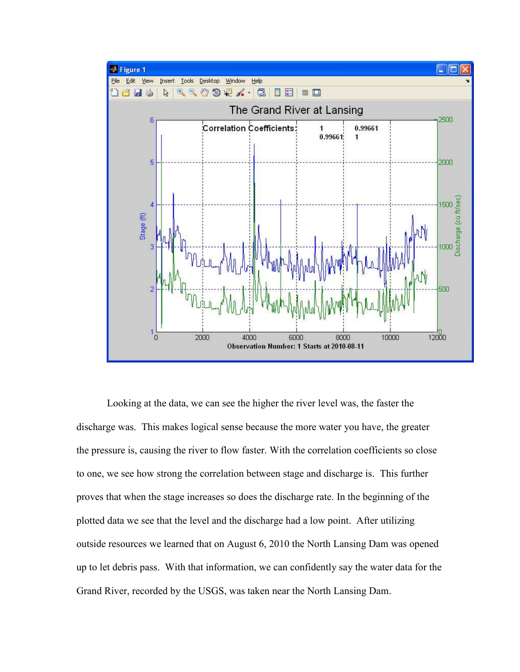

Looking at the data, we can see the higher the river level was, the faster the discharge was. This makes logical sense because the more water you have, the greater the pressure is, causing the river to flow faster. With the correlation coefficients so close to one, we see how strong the correlation between stage and discharge is. This further proves that when the stage increases so does the discharge rate. In the beginning of the plotted data we see that the level and the discharge had a low point. After utilizing outside resources we learned that on August 6, 2010 the North Lansing Dam was opened up to let debris pass. With that information, we can confidently say the water data for the Grand River, recorded by the USGS, was taken near the North Lansing Dam.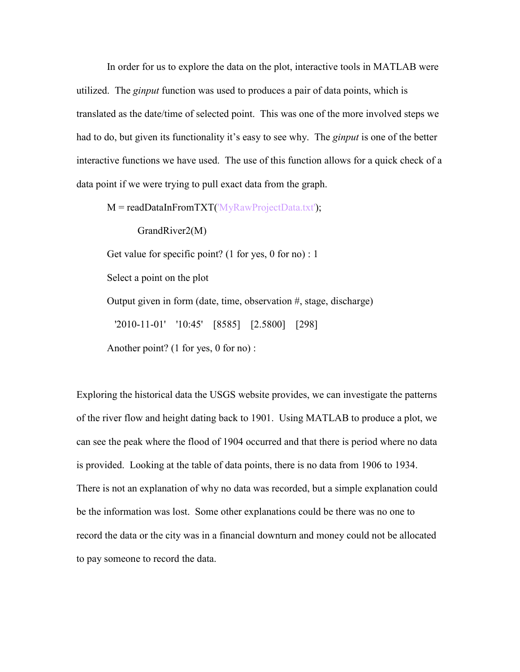In order for us to explore the data on the plot, interactive tools in MATLAB were utilized. The *ginput* function was used to produces a pair of data points, which is translated as the date/time of selected point. This was one of the more involved steps we had to do, but given its functionality it's easy to see why. The *ginput* is one of the better interactive functions we have used. The use of this function allows for a quick check of a data point if we were trying to pull exact data from the graph.

 $M = readDataInFrom TXT('MyRawProjectData.txt');$ 

GrandRiver2(M)

Get value for specific point? (1 for yes, 0 for no) : 1

Select a point on the plot

Output given in form (date, time, observation #, stage, discharge)

'2010-11-01' '10:45' [8585] [2.5800] [298]

Another point? (1 for yes, 0 for no) :

Exploring the historical data the USGS website provides, we can investigate the patterns of the river flow and height dating back to 1901. Using MATLAB to produce a plot, we can see the peak where the flood of 1904 occurred and that there is period where no data is provided. Looking at the table of data points, there is no data from 1906 to 1934. There is not an explanation of why no data was recorded, but a simple explanation could be the information was lost. Some other explanations could be there was no one to record the data or the city was in a financial downturn and money could not be allocated to pay someone to record the data.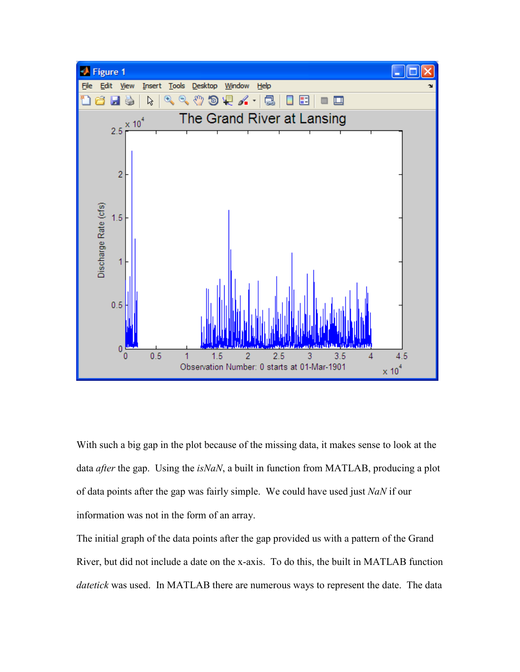

With such a big gap in the plot because of the missing data, it makes sense to look at the data *after* the gap. Using the *isNaN*, a built in function from MATLAB, producing a plot of data points after the gap was fairly simple. We could have used just *NaN* if our information was not in the form of an array.

The initial graph of the data points after the gap provided us with a pattern of the Grand River, but did not include a date on the x-axis. To do this, the built in MATLAB function *datetick* was used. In MATLAB there are numerous ways to represent the date. The data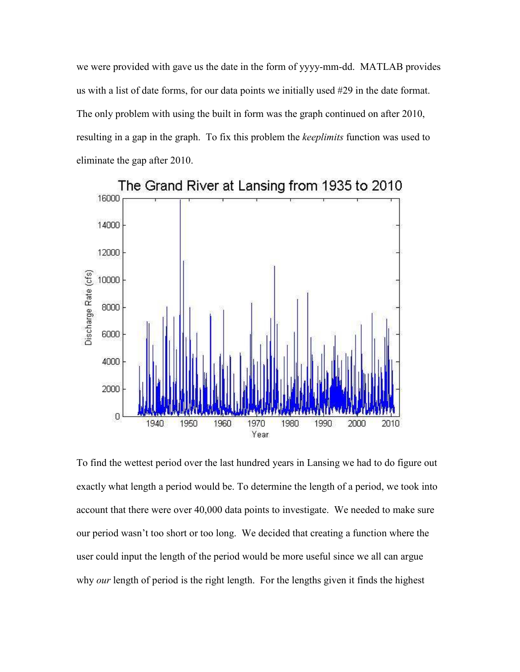we were provided with gave us the date in the form of yyyy-mm-dd. MATLAB provides us with a list of date forms, for our data points we initially used #29 in the date format. The only problem with using the built in form was the graph continued on after 2010, resulting in a gap in the graph. To fix this problem the *keeplimits* function was used to eliminate the gap after 2010.



To find the wettest period over the last hundred years in Lansing we had to do figure out exactly what length a period would be. To determine the length of a period, we took into account that there were over 40,000 data points to investigate. We needed to make sure our period wasn't too short or too long. We decided that creating a function where the user could input the length of the period would be more useful since we all can argue why *our* length of period is the right length. For the lengths given it finds the highest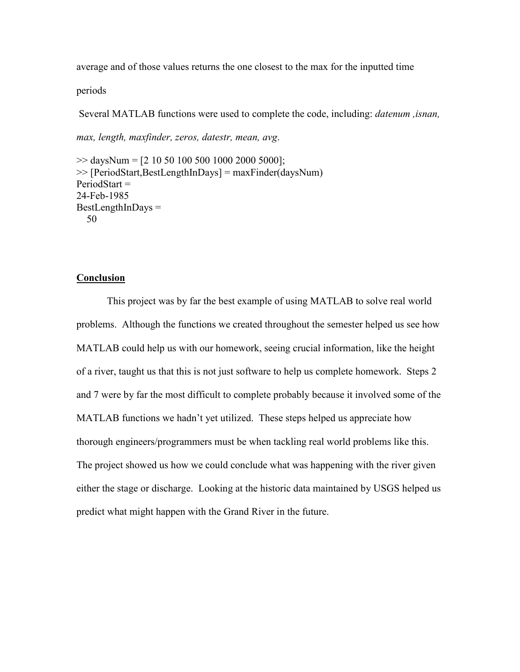average and of those values returns the one closest to the max for the inputted time

periods

Several MATLAB functions were used to complete the code, including: *datenum ,isnan,* 

*max, length, maxfinder, zeros, datestr, mean, avg*.

 $\gg$  daysNum = [2 10 50 100 500 1000 2000 5000]; >> [PeriodStart,BestLengthInDays] = maxFinder(daysNum)  $PeriodStart =$ 24-Feb-1985  $BestLengthInDavis =$ 50

## **Conclusion**

 This project was by far the best example of using MATLAB to solve real world problems. Although the functions we created throughout the semester helped us see how MATLAB could help us with our homework, seeing crucial information, like the height of a river, taught us that this is not just software to help us complete homework. Steps 2 and 7 were by far the most difficult to complete probably because it involved some of the MATLAB functions we hadn't yet utilized. These steps helped us appreciate how thorough engineers/programmers must be when tackling real world problems like this. The project showed us how we could conclude what was happening with the river given either the stage or discharge. Looking at the historic data maintained by USGS helped us predict what might happen with the Grand River in the future.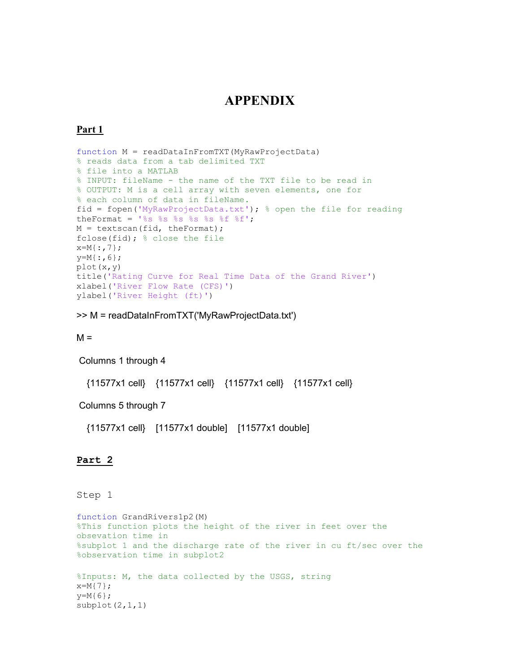# **APPENDIX**

#### **Part 1**

```
function M = readDataInFromTXT(MyRawProjectData)
% reads data from a tab delimited TXT
% file into a MATLAB
% INPUT: fileName - the name of the TXT file to be read in
% OUTPUT: M is a cell array with seven elements, one for
% each column of data in fileName.
fid = fopen('MyRawProjectData.txt'); % open the file for reading
theFormat = '%s %s %s %s %s %f %f';
M = textscan(fid, theFormat);
fclose(fid); % close the file
x=M\{:, 7\};
y=M\{: , 6\};
plot(x,y)
title('Rating Curve for Real Time Data of the Grand River')
xlabel('River Flow Rate (CFS)')
ylabel('River Height (ft)')
```
>> M = readDataInFromTXT('MyRawProjectData.txt')

 $M =$ 

Columns 1 through 4

{11577x1 cell} {11577x1 cell} {11577x1 cell} {11577x1 cell}

Columns 5 through 7

{11577x1 cell} [11577x1 double] [11577x1 double]

#### **Part 2**

#### Step 1

```
function GrandRivers1p2(M)
%This function plots the height of the river in feet over the 
obsevation time in
%subplot 1 and the discharge rate of the river in cu ft/sec over the
%observation time in subplot2
%Inputs: M, the data collected by the USGS, string 
x=M{7};
y=M{6};subplot(2,1,1)
```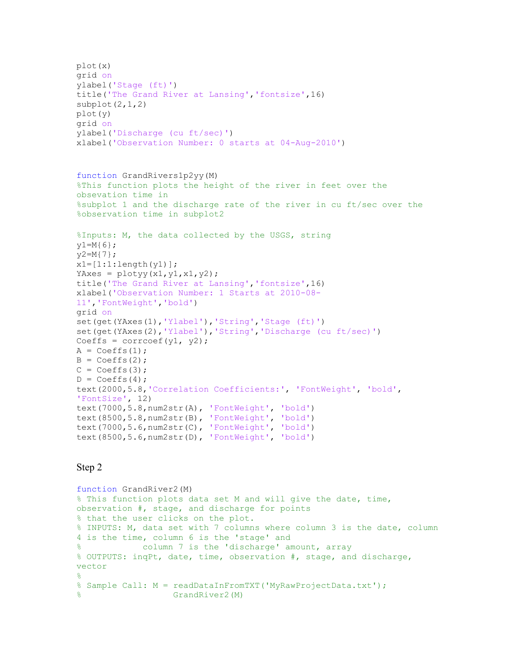```
plot(x)
grid on
ylabel('Stage (ft)')
title('The Grand River at Lansing','fontsize',16)
subplot(2, 1, 2)plot(y)
grid on
ylabel('Discharge (cu ft/sec)')
xlabel('Observation Number: 0 starts at 04-Aug-2010') 
function GrandRivers1p2yy(M)
%This function plots the height of the river in feet over the 
obsevation time in
%subplot 1 and the discharge rate of the river in cu ft/sec over the
%observation time in subplot2
%Inputs: M, the data collected by the USGS, string 
y1=M{6};y2=M(7);x1=[1:1:length(y1)];
YAxes = plotyy(x1, y1, x1, y2);
title('The Grand River at Lansing','fontsize',16)
xlabel('Observation Number: 1 Starts at 2010-08-
11','FontWeight','bold')
grid on
set(get(YAxes(1),'Ylabel'),'String','Stage (ft)') 
set(get(YAxes(2),'Ylabel'),'String','Discharge (cu ft/sec)')
Coeffs = correct(y1, y2);A = Coeffs(1);B = Coeffs(2);C = Coeffs(3);D = Coeffs(4);text(2000,5.8,'Correlation Coefficients:', 'FontWeight', 'bold', 
'FontSize', 12) 
text(7000,5.8,num2str(A), 'FontWeight', 'bold')
text(8500,5.8,num2str(B), 'FontWeight', 'bold')
text(7000,5.6,num2str(C), 'FontWeight', 'bold')
text(8500,5.6,num2str(D), 'FontWeight', 'bold')
```

```
function GrandRiver2(M)
% This function plots data set M and will give the date, time, 
observation #, stage, and discharge for points
% that the user clicks on the plot.
% INPUTS: M, data set with 7 columns where column 3 is the date, column 
4 is the time, column 6 is the 'stage' and
% column 7 is the 'discharge' amount, array
% OUTPUTS: inqPt, date, time, observation #, stage, and discharge, 
vector 
\approx% Sample Call: M = readDataInFromTXT ('MyRawProjectData.txt');
                   GrandRiver2(M)
```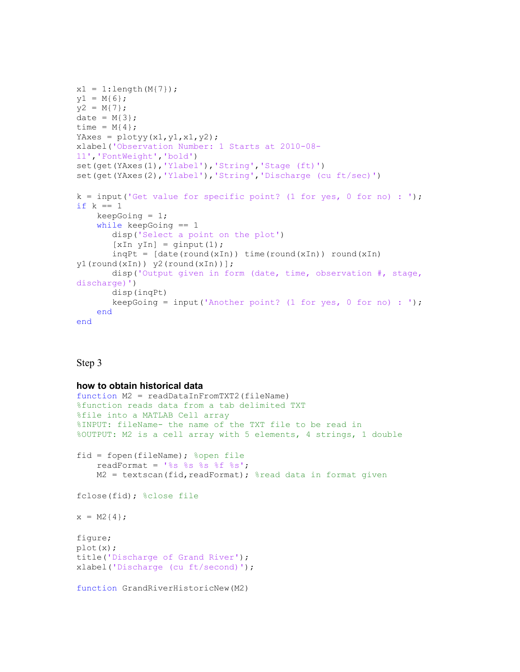```
x1 = 1:length(M{7});
y1 = M{6};
y2 = M{7};date = M{3};
time = M{4};
YAxes = plotyy(x1, y1, x1, y2);
xlabel('Observation Number: 1 Starts at 2010-08-
11','FontWeight','bold')
set(get(YAxes(1),'Ylabel'),'String','Stage (ft)')
set(get(YAxes(2),'Ylabel'),'String','Discharge (cu ft/sec)')
k = input('Get value for specific point? (1 for yes, 0 for no) : ');if k == 1keepGoing = 1; while keepGoing == 1
        disp('Select a point on the plot')
       [xIn yIn] = qinput(1);ingPt = [date(round(xIn)) time(round(xIn)) round(xIn)]y1(round(xIn)) y2(round(xIn))];
        disp('Output given in form (date, time, observation #, stage, 
discharge)')
        disp(inqPt) 
       keepGoing = input('Another point? (1 for yes, 0 for no) : ');
     end
end
```
#### **how to obtain historical data**

```
function M2 = readDataInFromTXT2(fileName)
%function reads data from a tab delimited TXT
%file into a MATLAB Cell array
%INPUT: fileName- the name of the TXT file to be read in
%OUTPUT: M2 is a cell array with 5 elements, 4 strings, 1 double
fid = fopen(fileName); %open file
    readFormat = '%s %s %s %f %s';
    M2 = textscan(fid, readFormat); & read data in format given
fclose(fid); %close file
x = M2{4};figure;
plot(x);
title('Discharge of Grand River');
xlabel('Discharge (cu ft/second)');
function GrandRiverHistoricNew(M2)
```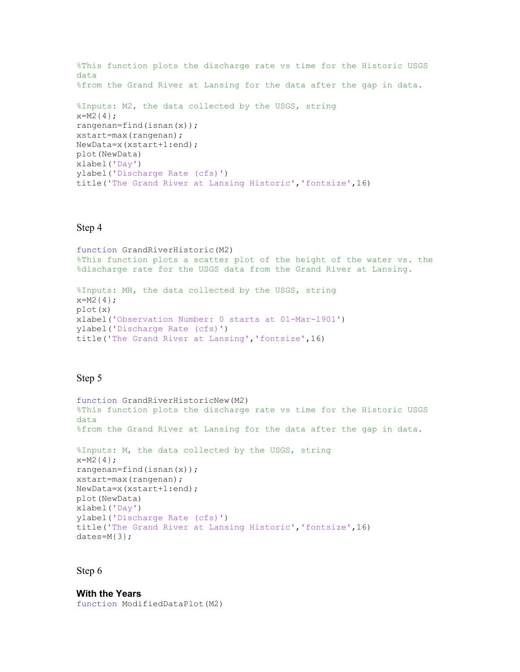```
%This function plots the discharge rate vs time for the Historic USGS 
data
%from the Grand River at Lansing for the data after the gap in data.
%Inputs: M2, the data collected by the USGS, string 
x=M2{4};rangenan=find(isnan(x));
xstart=max(rangenan);
NewData=x(xstart+1:end);
plot(NewData)
xlabel('Day')
ylabel('Discharge Rate (cfs)')
title('The Grand River at Lansing Historic','fontsize',16)
```
function GrandRiverHistoric(M2) %This function plots a scatter plot of the height of the water vs. the %discharge rate for the USGS data from the Grand River at Lansing.

```
%Inputs: MH, the data collected by the USGS, string 
x=M2{4};plot(x)
xlabel('Observation Number: 0 starts at 01-Mar-1901')
ylabel('Discharge Rate (cfs)')
title('The Grand River at Lansing','fontsize',16)
```
#### Step 5

```
function GrandRiverHistoricNew(M2)
%This function plots the discharge rate vs time for the Historic USGS 
data 
%from the Grand River at Lansing for the data after the gap in data.
%Inputs: M, the data collected by the USGS, string
```

```
x=M2{4};
rangenan=find(isnan(x));
xstart=max(rangenan);
NewData=x(xstart+1:end);
plot(NewData)
xlabel('Day')
ylabel('Discharge Rate (cfs)')
title('The Grand River at Lansing Historic','fontsize',16)
dates=M{3};
```
#### Step 6

**With the Years**  function ModifiedDataPlot(M2)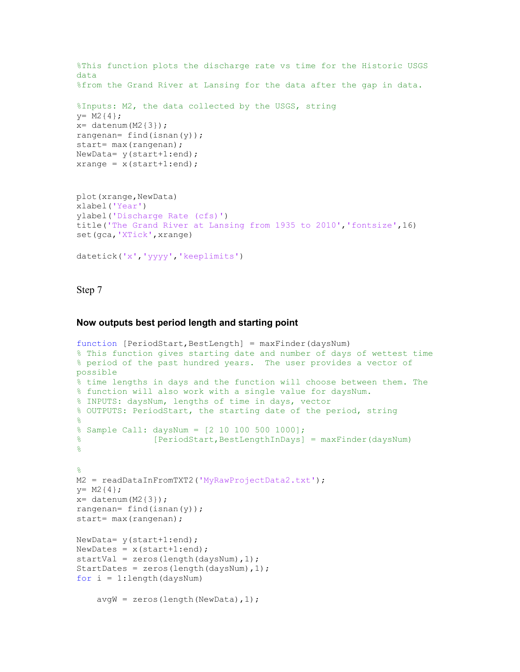```
%This function plots the discharge rate vs time for the Historic USGS 
data
%from the Grand River at Lansing for the data after the gap in data.
%Inputs: M2, the data collected by the USGS, string 
y= M2{4};x= datenum (M2{3});
rangenan= find(isnan(y));
start= max(rangenan) ;
NewData= y(start+1:end);
xrange = x(start+1:end);
plot(xrange,NewData)
xlabel('Year')
ylabel('Discharge Rate (cfs)')
title('The Grand River at Lansing from 1935 to 2010','fontsize',16)
set(gca,'XTick',xrange)
datetick('x','yyyy','keeplimits')
```
#### **Now outputs best period length and starting point**

```
function [PeriodStart, BestLength] = maxFinder(daysNum)
% This function gives starting date and number of days of wettest time
% period of the past hundred years. The user provides a vector of 
possible
% time lengths in days and the function will choose between them. The
% function will also work with a single value for daysNum. 
% INPUTS: daysNum, lengths of time in days, vector
% OUTPUTS: PeriodStart, the starting date of the period, string
\approx% Sample Call: daysNum = [2 10 100 500 1000]; 
% [PeriodStart,BestLengthInDays] = maxFinder(daysNum)
%
%
M2 = readDataInFromTXT2('MyRawProjectData2.txt');
y= M2{4};x= datenum (M2{3});
rangenan= find(isnan(y));
start= max(rangenan);
NewData= y(start+1:end);
NewDates = x(start+1:end);
startVal = zeros(length(daysNum), 1);
StartDates = zeros(length(daysNum), 1);
for i = 1: length (daysNum)
     avgW = zeros(length(NewData),1);
```